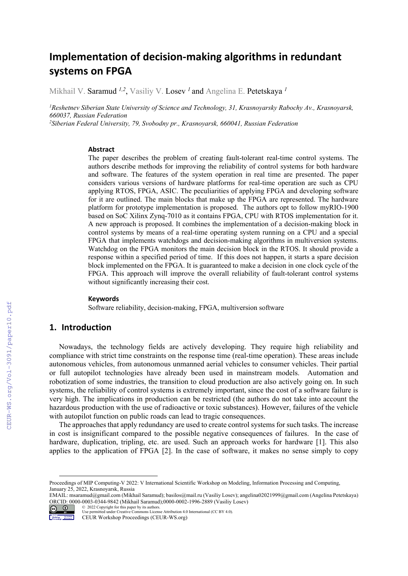# **Implementation of decision‐making algorithms in redundant systems on FPGA**

Mikhail V. Saramud *1,2*, Vasiliy V. Losev *<sup>1</sup>*and Angelina E. Petetskaya *<sup>1</sup>*

*1 Reshetnev Siberian State University of Science and Technology, 31, Krasnoyarsky Rabochy Av., Krasnoyarsk, 660037, Russian Federation* 

*2 Siberian Federal University, 79, Svobodny pr., Krasnoyarsk, 660041, Russian Federation* 

#### **Abstract**

The paper describes the problem of creating fault-tolerant real-time control systems. The authors describe methods for improving the reliability of control systems for both hardware and software. The features of the system operation in real time are presented. The paper considers various versions of hardware platforms for real-time operation are such as CPU applying RTOS, FPGA, ASIC. The peculiarities of applying FPGA and developing software for it are outlined. The main blocks that make up the FPGA are represented. The hardware platform for prototype implementation is proposed. The authors opt to follow myRIO-1900 based on SoC Xilinx Zynq-7010 as it contains FPGA, CPU with RTOS implementation for it. A new approach is proposed. It combines the implementation of a decision-making block in control systems by means of a real-time operating system running on a CPU and a special FPGA that implements watchdogs and decision-making algorithms in multiversion systems. Watchdog on the FPGA monitors the main decision block in the RTOS. It should provide a response within a specified period of time. If this does not happen, it starts a spare decision block implemented on the FPGA. It is guaranteed to make a decision in one clock cycle of the FPGA. This approach will improve the overall reliability of fault-tolerant control systems without significantly increasing their cost.

#### **Keywords**

Software reliability, decision-making, FPGA, multiversion software

## **1. Introduction**

Nowadays, the technology fields are actively developing. They require high reliability and compliance with strict time constraints on the response time (real-time operation). These areas include autonomous vehicles, from autonomous unmanned aerial vehicles to consumer vehicles. Their partial or full autopilot technologies have already been used in mainstream models. Automation and robotization of some industries, the transition to cloud production are also actively going on. In such systems, the reliability of control systems is extremely important, since the cost of a software failure is very high. The implications in production can be restricted (the authors do not take into account the hazardous production with the use of radioactive or toxic substances). However, failures of the vehicle with autopilot function on public roads can lead to tragic consequences.

The approaches that apply redundancy are used to create control systems for such tasks. The increase in cost is insignificant compared to the possible negative consequences of failures. In the case of hardware, duplication, tripling, etc. are used. Such an approach works for hardware [1]. This also applies to the application of FPGA [2]. In the case of software, it makes no sense simply to copy

EMAIL: msaramud@gmail.com (Mikhail Saramud); basilos@mail.ru (Vasiliy Losev); angelina02021999@gmail.com (Angelina Petetskaya) ORCID: 0000-0003-0344-9842 (Mikhail Saramud);0000-0002-1996-2889 (Vasiliy Losev) © 2022 Copyright for this paper by its authors.



Use permitted under Creative Commons License Attribution 4.0 International (CC BY 4.0). CEUR Workshop Proceedings (CEUR-WS.org)

Proceedings of MIP Computing-V 2022: V International Scientific Workshop on Modeling, Information Processing and Computing, January 25, 2022, Krasnoyarsk, Russia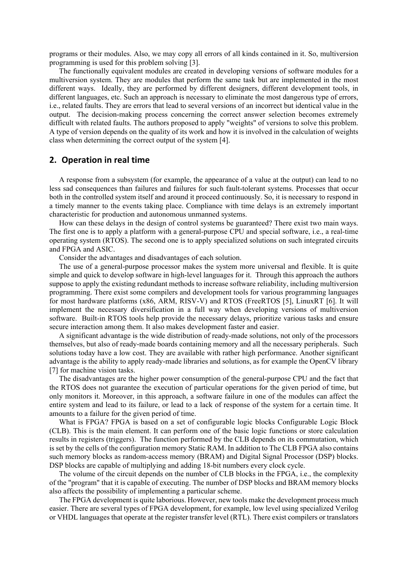programs or their modules. Also, we may copy all errors of all kinds contained in it. So, multiversion programming is used for this problem solving [3].

The functionally equivalent modules are created in developing versions of software modules for a multiversion system. They are modules that perform the same task but are implemented in the most different ways. Ideally, they are performed by different designers, different development tools, in different languages, etc. Such an approach is necessary to eliminate the most dangerous type of errors, i.e., related faults. They are errors that lead to several versions of an incorrect but identical value in the output. The decision-making process concerning the correct answer selection becomes extremely difficult with related faults. The authors proposed to apply "weights" of versions to solve this problem. A type of version depends on the quality of its work and how it is involved in the calculation of weights class when determining the correct output of the system [4].

### **2. Operation in real time**

A response from a subsystem (for example, the appearance of a value at the output) can lead to no less sad consequences than failures and failures for such fault-tolerant systems. Processes that occur both in the controlled system itself and around it proceed continuously. So, it is necessary to respond in a timely manner to the events taking place. Compliance with time delays is an extremely important characteristic for production and autonomous unmanned systems.

How can these delays in the design of control systems be guaranteed? There exist two main ways. The first one is to apply a platform with a general-purpose CPU and special software, i.e., a real-time operating system (RTOS). The second one is to apply specialized solutions on such integrated circuits and FPGA and ASIC.

Consider the advantages and disadvantages of each solution.

The use of a general-purpose processor makes the system more universal and flexible. It is quite simple and quick to develop software in high-level languages for it. Through this approach the authors suppose to apply the existing redundant methods to increase software reliability, including multiversion programming. There exist some compilers and development tools for various programming languages for most hardware platforms (x86, ARM, RISV-V) and RTOS (FreeRTOS [5], LinuxRT [6]. It will implement the necessary diversification in a full way when developing versions of multiversion software. Built-in RTOS tools help provide the necessary delays, prioritize various tasks and ensure secure interaction among them. It also makes development faster and easier.

A significant advantage is the wide distribution of ready-made solutions, not only of the processors themselves, but also of ready-made boards containing memory and all the necessary peripherals. Such solutions today have a low cost. They are available with rather high performance. Another significant advantage is the ability to apply ready-made libraries and solutions, as for example the OpenCV library [7] for machine vision tasks.

The disadvantages are the higher power consumption of the general-purpose CPU and the fact that the RTOS does not guarantee the execution of particular operations for the given period of time, but only monitors it. Moreover, in this approach, a software failure in one of the modules can affect the entire system and lead to its failure, or lead to a lack of response of the system for a certain time. It amounts to a failure for the given period of time.

What is FPGA? FPGA is based on a set of configurable logic blocks Configurable Logic Block (CLB). This is the main element. It can perform one of the basic logic functions or store calculation results in registers (triggers). The function performed by the CLB depends on its commutation, which is set by the cells of the configuration memory Static RAM. In addition to The CLB FPGA also contains such memory blocks as random-access memory (BRAM) and Digital Signal Processor (DSP) blocks. DSP blocks are capable of multiplying and adding 18-bit numbers every clock cycle.

The volume of the circuit depends on the number of CLB blocks in the FPGA, i.e., the complexity of the "program" that it is capable of executing. The number of DSP blocks and BRAM memory blocks also affects the possibility of implementing a particular scheme.

The FPGA development is quite laborious. However, new tools make the development process much easier. There are several types of FPGA development, for example, low level using specialized Verilog or VHDL languages that operate at the register transfer level (RTL). There exist compilers or translators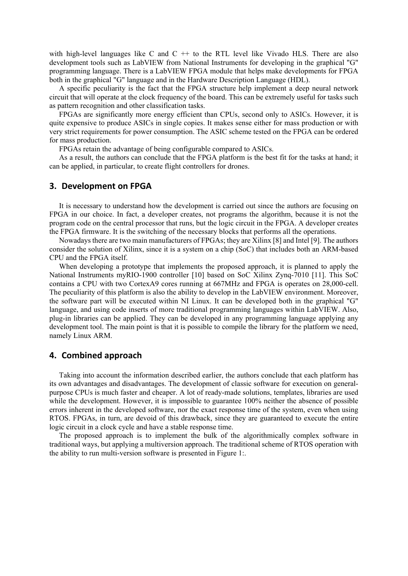with high-level languages like C and  $C + t$  to the RTL level like Vivado HLS. There are also development tools such as LabVIEW from National Instruments for developing in the graphical "G" programming language. There is a LabVIEW FPGA module that helps make developments for FPGA both in the graphical "G" language and in the Hardware Description Language (HDL).

A specific peculiarity is the fact that the FPGA structure help implement a deep neural network circuit that will operate at the clock frequency of the board. This can be extremely useful for tasks such as pattern recognition and other classification tasks.

FPGAs are significantly more energy efficient than CPUs, second only to ASICs. However, it is quite expensive to produce ASICs in single copies. It makes sense either for mass production or with very strict requirements for power consumption. The ASIC scheme tested on the FPGA can be ordered for mass production.

FPGAs retain the advantage of being configurable compared to ASICs.

As a result, the authors can conclude that the FPGA platform is the best fit for the tasks at hand; it can be applied, in particular, to create flight controllers for drones.

#### **3. Development on FPGA**

It is necessary to understand how the development is carried out since the authors are focusing on FPGA in our choice. In fact, a developer creates, not programs the algorithm, because it is not the program code on the central processor that runs, but the logic circuit in the FPGA. A developer creates the FPGA firmware. It is the switching of the necessary blocks that performs all the operations.

Nowadays there are two main manufacturers of FPGAs; they are Xilinx [8] and Intel [9]. The authors consider the solution of Xilinx, since it is a system on a chip (SoC) that includes both an ARM-based CPU and the FPGA itself.

When developing a prototype that implements the proposed approach, it is planned to apply the National Instruments myRIO-1900 controller [10] based on SoC Xilinx Zynq-7010 [11]. This SoC contains a CPU with two CortexA9 cores running at 667MHz and FPGA is operates on 28,000-cell. The peculiarity of this platform is also the ability to develop in the LabVIEW environment. Moreover, the software part will be executed within NI Linux. It can be developed both in the graphical "G" language, and using code inserts of more traditional programming languages within LabVIEW. Also, plug-in libraries can be applied. They can be developed in any programming language applying any development tool. The main point is that it is possible to compile the library for the platform we need, namely Linux ARM.

### **4. Combined approach**

Taking into account the information described earlier, the authors conclude that each platform has its own advantages and disadvantages. The development of classic software for execution on generalpurpose CPUs is much faster and cheaper. A lot of ready-made solutions, templates, libraries are used while the development. However, it is impossible to guarantee 100% neither the absence of possible errors inherent in the developed software, nor the exact response time of the system, even when using RTOS. FPGAs, in turn, are devoid of this drawback, since they are guaranteed to execute the entire logic circuit in a clock cycle and have a stable response time.

The proposed approach is to implement the bulk of the algorithmically complex software in traditional ways, but applying a multiversion approach. The traditional scheme of RTOS operation with the ability to run multi-version software is presented in Figure 1:.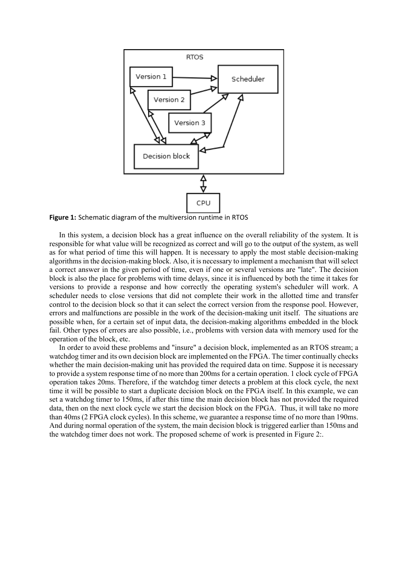

**Figure 1:** Schematic diagram of the multiversion runtime in RTOS

In this system, a decision block has a great influence on the overall reliability of the system. It is responsible for what value will be recognized as correct and will go to the output of the system, as well as for what period of time this will happen. It is necessary to apply the most stable decision-making algorithms in the decision-making block. Also, it is necessary to implement a mechanism that will select a correct answer in the given period of time, even if one or several versions are "late". The decision block is also the place for problems with time delays, since it is influenced by both the time it takes for versions to provide a response and how correctly the operating system's scheduler will work. A scheduler needs to close versions that did not complete their work in the allotted time and transfer control to the decision block so that it can select the correct version from the response pool. However, errors and malfunctions are possible in the work of the decision-making unit itself. The situations are possible when, for a certain set of input data, the decision-making algorithms embedded in the block fail. Other types of errors are also possible, i.e., problems with version data with memory used for the operation of the block, etc.

In order to avoid these problems and "insure" a decision block, implemented as an RTOS stream; a watchdog timer and its own decision block are implemented on the FPGA. The timer continually checks whether the main decision-making unit has provided the required data on time. Suppose it is necessary to provide a system response time of no more than 200ms for a certain operation. 1 clock cycle of FPGA operation takes 20ms. Therefore, if the watchdog timer detects a problem at this clock cycle, the next time it will be possible to start a duplicate decision block on the FPGA itself. In this example, we can set a watchdog timer to 150ms, if after this time the main decision block has not provided the required data, then on the next clock cycle we start the decision block on the FPGA. Thus, it will take no more than 40ms (2 FPGA clock cycles). In this scheme, we guarantee a response time of no more than 190ms. And during normal operation of the system, the main decision block is triggered earlier than 150ms and the watchdog timer does not work. The proposed scheme of work is presented in Figure 2:.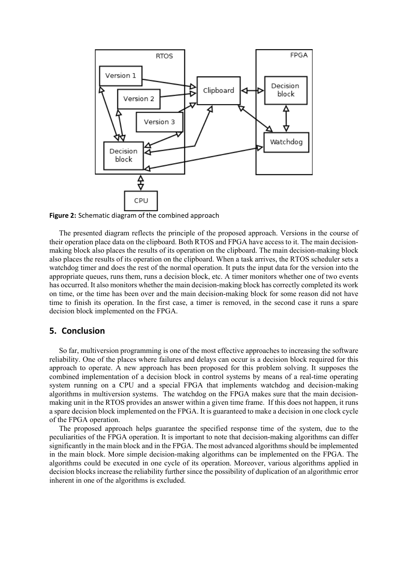

**Figure 2:** Schematic diagram of the combined approach

The presented diagram reflects the principle of the proposed approach. Versions in the course of their operation place data on the clipboard. Both RTOS and FPGA have access to it. The main decisionmaking block also places the results of its operation on the clipboard. The main decision-making block also places the results of its operation on the clipboard. When a task arrives, the RTOS scheduler sets a watchdog timer and does the rest of the normal operation. It puts the input data for the version into the appropriate queues, runs them, runs a decision block, etc. A timer monitors whether one of two events has occurred. It also monitors whether the main decision-making block has correctly completed its work on time, or the time has been over and the main decision-making block for some reason did not have time to finish its operation. In the first case, a timer is removed, in the second case it runs a spare decision block implemented on the FPGA.

### **5. Conclusion**

So far, multiversion programming is one of the most effective approaches to increasing the software reliability. One of the places where failures and delays can occur is a decision block required for this approach to operate. A new approach has been proposed for this problem solving. It supposes the combined implementation of a decision block in control systems by means of a real-time operating system running on a CPU and a special FPGA that implements watchdog and decision-making algorithms in multiversion systems. The watchdog on the FPGA makes sure that the main decisionmaking unit in the RTOS provides an answer within a given time frame. If this does not happen, it runs a spare decision block implemented on the FPGA. It is guaranteed to make a decision in one clock cycle of the FPGA operation.

The proposed approach helps guarantee the specified response time of the system, due to the peculiarities of the FPGA operation. It is important to note that decision-making algorithms can differ significantly in the main block and in the FPGA. The most advanced algorithms should be implemented in the main block. More simple decision-making algorithms can be implemented on the FPGA. The algorithms could be executed in one cycle of its operation. Moreover, various algorithms applied in decision blocks increase the reliability further since the possibility of duplication of an algorithmic error inherent in one of the algorithms is excluded.